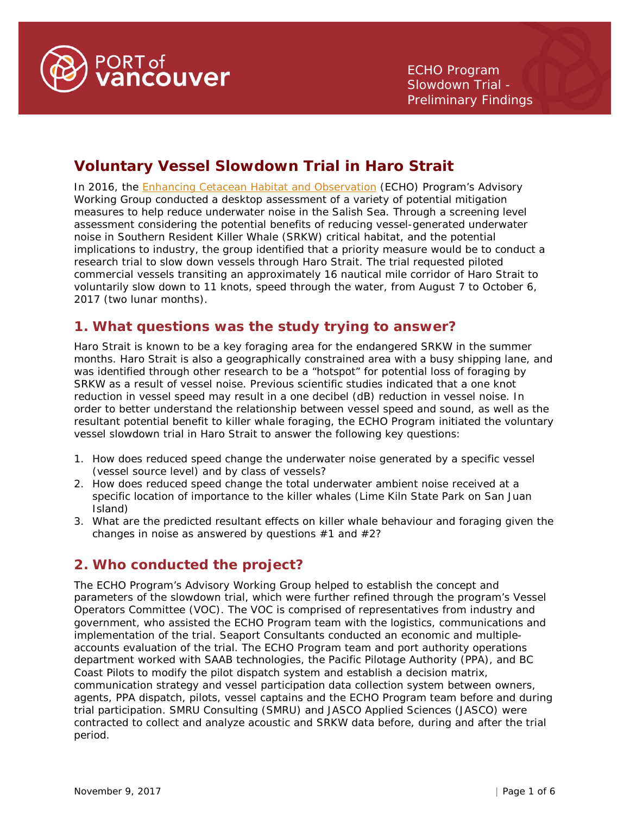

# **Voluntary Vessel Slowdown Trial in Haro Strait**

In 2016, the [Enhancing Cetacean Habitat and Observation](http://www.portvancouver.com/environment/water-land-wildlife/marine-mammals/) (ECHO) Program's Advisory Working Group conducted a desktop assessment of a variety of potential mitigation measures to help reduce underwater noise in the Salish Sea. Through a screening level assessment considering the potential benefits of reducing vessel-generated underwater noise in Southern Resident Killer Whale (SRKW) critical habitat, and the potential implications to industry, the group identified that a priority measure would be to conduct a research trial to slow down vessels through Haro Strait. The trial requested piloted commercial vessels transiting an approximately 16 nautical mile corridor of Haro Strait to voluntarily slow down to 11 knots, speed through the water, from August 7 to October 6, 2017 (two lunar months).

# **1. What questions was the study trying to answer?**

Haro Strait is known to be a key foraging area for the endangered SRKW in the summer months. Haro Strait is also a geographically constrained area with a busy shipping lane, and was identified through other research to be a "hotspot" for potential loss of foraging by SRKW as a result of vessel noise. Previous scientific studies indicated that a one knot reduction in vessel speed may result in a one decibel (dB) reduction in vessel noise. In order to better understand the relationship between vessel speed and sound, as well as the resultant potential benefit to killer whale foraging, the ECHO Program initiated the voluntary vessel slowdown trial in Haro Strait to answer the following key questions:

- 1. How does reduced speed change the underwater noise generated by a specific vessel (vessel source level) and by class of vessels?
- 2. How does reduced speed change the total underwater ambient noise received at a specific location of importance to the killer whales (Lime Kiln State Park on San Juan Island)
- 3. What are the predicted resultant effects on killer whale behaviour and foraging given the changes in noise as answered by questions  $#1$  and  $#2$ ?

# **2. Who conducted the project?**

The ECHO Program's Advisory Working Group helped to establish the concept and parameters of the slowdown trial, which were further refined through the program's Vessel Operators Committee (VOC). The VOC is comprised of representatives from industry and government, who assisted the ECHO Program team with the logistics, communications and implementation of the trial. Seaport Consultants conducted an economic and multipleaccounts evaluation of the trial. The ECHO Program team and port authority operations department worked with SAAB technologies, the Pacific Pilotage Authority (PPA), and BC Coast Pilots to modify the pilot dispatch system and establish a decision matrix, communication strategy and vessel participation data collection system between owners, agents, PPA dispatch, pilots, vessel captains and the ECHO Program team before and during trial participation. SMRU Consulting (SMRU) and JASCO Applied Sciences (JASCO) were contracted to collect and analyze acoustic and SRKW data before, during and after the trial period.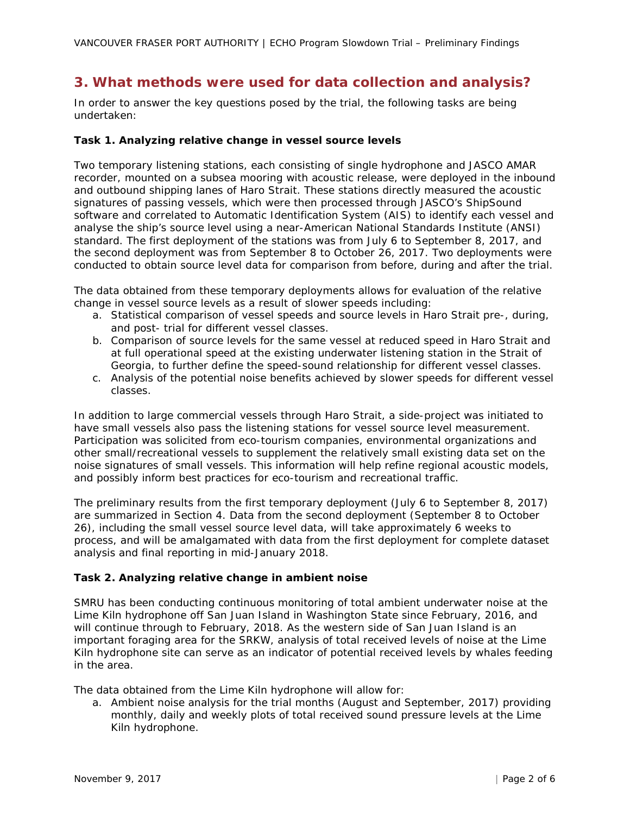# **3. What methods were used for data collection and analysis?**

In order to answer the key questions posed by the trial, the following tasks are being undertaken:

#### **Task 1. Analyzing relative change in vessel source levels**

Two temporary listening stations, each consisting of single hydrophone and JASCO AMAR recorder, mounted on a subsea mooring with acoustic release, were deployed in the inbound and outbound shipping lanes of Haro Strait. These stations directly measured the acoustic signatures of passing vessels, which were then processed through JASCO's ShipSound software and correlated to Automatic Identification System (AIS) to identify each vessel and analyse the ship's source level using a near-American National Standards Institute (ANSI) standard. The first deployment of the stations was from July 6 to September 8, 2017, and the second deployment was from September 8 to October 26, 2017. Two deployments were conducted to obtain source level data for comparison from before, during and after the trial.

The data obtained from these temporary deployments allows for evaluation of the relative change in vessel source levels as a result of slower speeds including:

- a. Statistical comparison of vessel speeds and source levels in Haro Strait pre-, during, and post- trial for different vessel classes.
- b. Comparison of source levels for the same vessel at reduced speed in Haro Strait and at full operational speed at the existing underwater listening station in the Strait of Georgia, to further define the speed-sound relationship for different vessel classes.
- c. Analysis of the potential noise benefits achieved by slower speeds for different vessel classes.

In addition to large commercial vessels through Haro Strait, a side-project was initiated to have small vessels also pass the listening stations for vessel source level measurement. Participation was solicited from eco-tourism companies, environmental organizations and other small/recreational vessels to supplement the relatively small existing data set on the noise signatures of small vessels. This information will help refine regional acoustic models, and possibly inform best practices for eco-tourism and recreational traffic.

The preliminary results from the first temporary deployment (July 6 to September 8, 2017) are summarized in Section 4. Data from the second deployment (September 8 to October 26), including the small vessel source level data, will take approximately 6 weeks to process, and will be amalgamated with data from the first deployment for complete dataset analysis and final reporting in mid-January 2018.

#### **Task 2. Analyzing relative change in ambient noise**

SMRU has been conducting continuous monitoring of total ambient underwater noise at the Lime Kiln hydrophone off San Juan Island in Washington State since February, 2016, and will continue through to February, 2018. As the western side of San Juan Island is an important foraging area for the SRKW, analysis of total received levels of noise at the Lime Kiln hydrophone site can serve as an indicator of potential received levels by whales feeding in the area.

The data obtained from the Lime Kiln hydrophone will allow for:

a. Ambient noise analysis for the trial months (August and September, 2017) providing monthly, daily and weekly plots of total received sound pressure levels at the Lime Kiln hydrophone.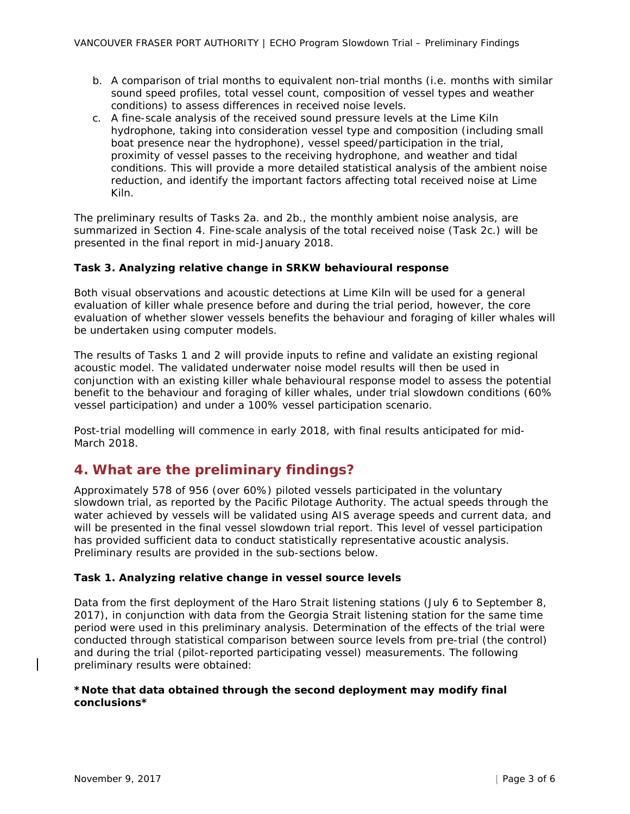- b. A comparison of trial months to equivalent non-trial months (i.e. months with similar sound speed profiles, total vessel count, composition of vessel types and weather conditions) to assess differences in received noise levels.
- c. A fine-scale analysis of the received sound pressure levels at the Lime Kiln hydrophone, taking into consideration vessel type and composition (including small boat presence near the hydrophone), vessel speed/participation in the trial, proximity of vessel passes to the receiving hydrophone, and weather and tidal conditions. This will provide a more detailed statistical analysis of the ambient noise reduction, and identify the important factors affecting total received noise at Lime Kiln.

The preliminary results of Tasks 2a. and 2b., the monthly ambient noise analysis, are summarized in Section 4. Fine-scale analysis of the total received noise (Task 2c.) will be presented in the final report in mid-January 2018.

### **Task 3. Analyzing relative change in SRKW behavioural response**

Both visual observations and acoustic detections at Lime Kiln will be used for a general evaluation of killer whale presence before and during the trial period, however, the core evaluation of whether slower vessels benefits the behaviour and foraging of killer whales will be undertaken using computer models.

The results of Tasks 1 and 2 will provide inputs to refine and validate an existing regional acoustic model. The validated underwater noise model results will then be used in conjunction with an existing killer whale behavioural response model to assess the potential benefit to the behaviour and foraging of killer whales, under trial slowdown conditions (60% vessel participation) and under a 100% vessel participation scenario.

Post-trial modelling will commence in early 2018, with final results anticipated for mid-March 2018.

## **4. What are the preliminary findings?**

Approximately 578 of 956 (over 60%) piloted vessels participated in the voluntary slowdown trial, as reported by the Pacific Pilotage Authority. The actual speeds through the water achieved by vessels will be validated using AIS average speeds and current data, and will be presented in the final vessel slowdown trial report. This level of vessel participation has provided sufficient data to conduct statistically representative acoustic analysis. Preliminary results are provided in the sub-sections below.

#### **Task 1. Analyzing relative change in vessel source levels**

Data from the first deployment of the Haro Strait listening stations (July 6 to September 8, 2017), in conjunction with data from the Georgia Strait listening station for the same time period were used in this preliminary analysis. Determination of the effects of the trial were conducted through statistical comparison between source levels from pre-trial (the control) and during the trial (pilot-reported participating vessel) measurements. The following preliminary results were obtained:

### *\*Note that data obtained through the second deployment may modify final conclusions\**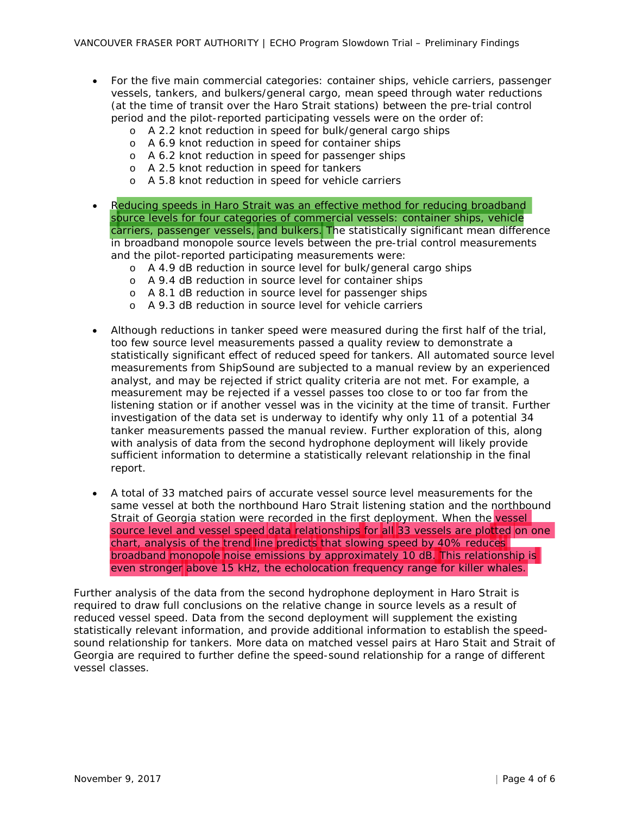- For the five main commercial categories: container ships, vehicle carriers, passenger vessels, tankers, and bulkers/general cargo, mean speed through water reductions (at the time of transit over the Haro Strait stations) between the pre-trial control period and the pilot-reported participating vessels were on the order of:
	- o A 2.2 knot reduction in speed for bulk/general cargo ships
	- o A 6.9 knot reduction in speed for container ships
	- o A 6.2 knot reduction in speed for passenger ships
	- o A 2.5 knot reduction in speed for tankers
	- o A 5.8 knot reduction in speed for vehicle carriers
- Reducing speeds in Haro Strait was an effective method for reducing broadband source levels for four categories of commercial vessels: container ships, vehicle carriers, passenger vessels, and bulkers. The statistically significant mean difference in broadband monopole source levels between the pre-trial control measurements and the pilot-reported participating measurements were:
	- o A 4.9 dB reduction in source level for bulk/general cargo ships
	- o A 9.4 dB reduction in source level for container ships
	- o A 8.1 dB reduction in source level for passenger ships
	- o A 9.3 dB reduction in source level for vehicle carriers
- Although reductions in tanker speed were measured during the first half of the trial, too few source level measurements passed a quality review to demonstrate a statistically significant effect of reduced speed for tankers. All automated source level measurements from ShipSound are subjected to a manual review by an experienced analyst, and may be rejected if strict quality criteria are not met. For example, a measurement may be rejected if a vessel passes too close to or too far from the listening station or if another vessel was in the vicinity at the time of transit. Further investigation of the data set is underway to identify why only 11 of a potential 34 tanker measurements passed the manual review. Further exploration of this, along with analysis of data from the second hydrophone deployment will likely provide sufficient information to determine a statistically relevant relationship in the final report.
- A total of 33 matched pairs of accurate vessel source level measurements for the same vessel at both the northbound Haro Strait listening station and the northbound Strait of Georgia station were recorded in the first deployment. When the vessel source level and vessel speed data relationships for all 33 vessels are plotted on one chart, analysis of the trend line predicts that slowing speed by 40% reduces broadband monopole noise emissions by approximately 10 dB. This relationship is even stronger above 15 kHz, the echolocation frequency range for killer whales.

Further analysis of the data from the second hydrophone deployment in Haro Strait is required to draw full conclusions on the relative change in source levels as a result of reduced vessel speed. Data from the second deployment will supplement the existing statistically relevant information, and provide additional information to establish the speedsound relationship for tankers. More data on matched vessel pairs at Haro Stait and Strait of Georgia are required to further define the speed-sound relationship for a range of different vessel classes.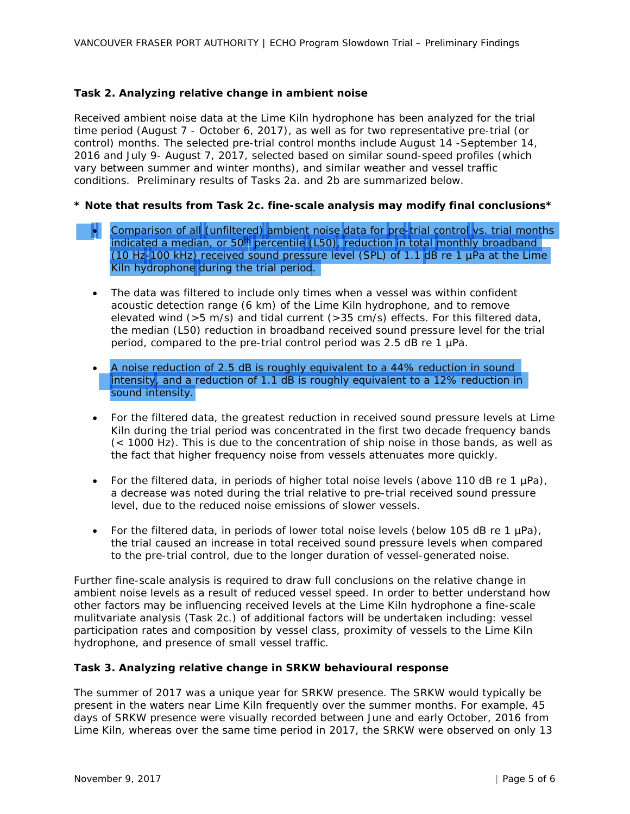### **Task 2. Analyzing relative change in ambient noise**

Received ambient noise data at the Lime Kiln hydrophone has been analyzed for the trial time period (August 7 - October 6, 2017), as well as for two representative pre-trial (or control) months. The selected pre-trial control months include August 14 -September 14, 2016 and July 9- August 7, 2017, selected based on similar sound-speed profiles (which vary between summer and winter months), and similar weather and vessel traffic conditions. Preliminary results of Tasks 2a. and 2b are summarized below.

### *\* Note that results from Task 2c. fine-scale analysis may modify final conclusions\**

- Comparison of all (unfiltered) ambient noise data for pre-trial control vs. trial months indicated a median, or 50<sup>th</sup> percentile (L50), reduction in total monthly broadband (10 Hz-100 kHz) received sound pressure level (SPL) of 1.1 dB re 1 µPa at the Lime Kiln hydrophone during the trial period.
	- The data was filtered to include only times when a vessel was within confident acoustic detection range (6 km) of the Lime Kiln hydrophone, and to remove elevated wind ( $>5$  m/s) and tidal current ( $>35$  cm/s) effects. For this filtered data, the median (L50) reduction in broadband received sound pressure level for the trial period, compared to the pre-trial control period was 2.5 dB re 1 µPa.
	- A noise reduction of 2.5 dB is roughly equivalent to a 44% reduction in sound intensity, and a reduction of 1.1 dB is roughly equivalent to a 12% reduction in sound intensity.
	- For the filtered data, the greatest reduction in received sound pressure levels at Lime Kiln during the trial period was concentrated in the first two decade frequency bands (< 1000 Hz). This is due to the concentration of ship noise in those bands, as well as the fact that higher frequency noise from vessels attenuates more quickly.
	- For the filtered data, in periods of higher total noise levels (above 110 dB re 1  $\mu$ Pa), a decrease was noted during the trial relative to pre-trial received sound pressure level, due to the reduced noise emissions of slower vessels.
	- For the filtered data, in periods of lower total noise levels (below 105 dB re 1  $\mu$ Pa), the trial caused an increase in total received sound pressure levels when compared to the pre-trial control, due to the longer duration of vessel-generated noise.

Further fine-scale analysis is required to draw full conclusions on the relative change in ambient noise levels as a result of reduced vessel speed. In order to better understand how other factors may be influencing received levels at the Lime Kiln hydrophone a fine-scale mulitvariate analysis (Task 2c.) of additional factors will be undertaken including: vessel participation rates and composition by vessel class, proximity of vessels to the Lime Kiln hydrophone, and presence of small vessel traffic.

#### **Task 3. Analyzing relative change in SRKW behavioural response**

The summer of 2017 was a unique year for SRKW presence. The SRKW would typically be present in the waters near Lime Kiln frequently over the summer months. For example, 45 days of SRKW presence were visually recorded between June and early October, 2016 from Lime Kiln, whereas over the same time period in 2017, the SRKW were observed on only 13